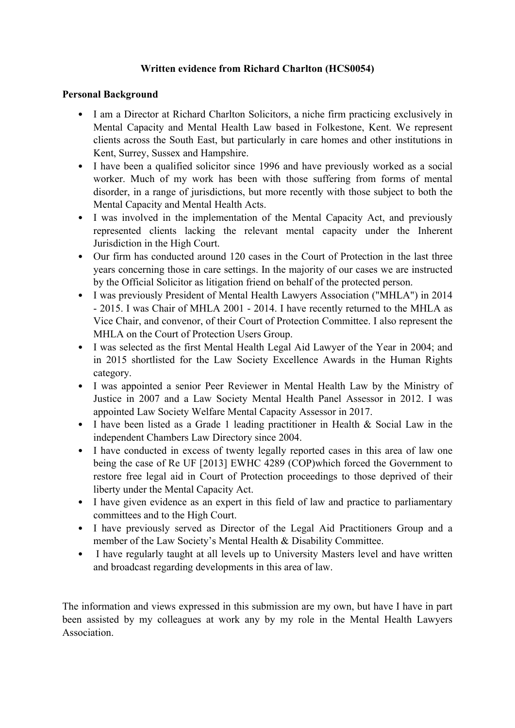# **Written evidence from Richard Charlton (HCS0054)**

#### **Personal Background**

- I am a Director at Richard Charlton Solicitors, a niche firm practicing exclusively in Mental Capacity and Mental Health Law based in Folkestone, Kent. We represent clients across the South East, but particularly in care homes and other institutions in Kent, Surrey, Sussex and Hampshire.
- I have been a qualified solicitor since 1996 and have previously worked as a social worker. Much of my work has been with those suffering from forms of mental disorder, in a range of jurisdictions, but more recently with those subject to both the Mental Capacity and Mental Health Acts.
- I was involved in the implementation of the Mental Capacity Act, and previously represented clients lacking the relevant mental capacity under the Inherent Jurisdiction in the High Court.
- Our firm has conducted around 120 cases in the Court of Protection in the last three years concerning those in care settings. In the majority of our cases we are instructed by the Official Solicitor as litigation friend on behalf of the protected person.
- I was previously President of Mental Health Lawyers Association ("MHLA") in 2014 - 2015. I was Chair of MHLA 2001 - 2014. I have recently returned to the MHLA as Vice Chair, and convenor, of their Court of Protection Committee. I also represent the MHLA on the Court of Protection Users Group.
- I was selected as the first Mental Health Legal Aid Lawyer of the Year in 2004; and in 2015 shortlisted for the Law Society Excellence Awards in the Human Rights category.
- I was appointed a senior Peer Reviewer in Mental Health Law by the Ministry of Justice in 2007 and a Law Society Mental Health Panel Assessor in 2012. I was appointed Law Society Welfare Mental Capacity Assessor in 2017.
- I have been listed as a Grade 1 leading practitioner in Health & Social Law in the independent Chambers Law Directory since 2004.
- I have conducted in excess of twenty legally reported cases in this area of law one being the case of Re UF [2013] EWHC 4289 (COP)which forced the Government to restore free legal aid in Court of Protection proceedings to those deprived of their liberty under the Mental Capacity Act.
- I have given evidence as an expert in this field of law and practice to parliamentary committees and to the High Court.
- I have previously served as Director of the Legal Aid Practitioners Group and a member of the Law Society's Mental Health & Disability Committee.
- I have regularly taught at all levels up to University Masters level and have written and broadcast regarding developments in this area of law.

The information and views expressed in this submission are my own, but have I have in part been assisted by my colleagues at work any by my role in the Mental Health Lawyers **Association**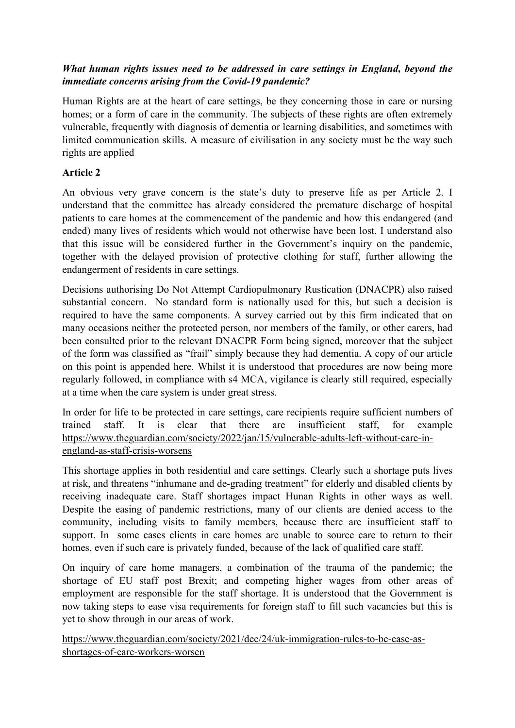# *What human rights issues need to be addressed in care settings in England, beyond the immediate concerns arising from the Covid-19 pandemic?*

Human Rights are at the heart of care settings, be they concerning those in care or nursing homes; or a form of care in the community. The subjects of these rights are often extremely vulnerable, frequently with diagnosis of dementia or learning disabilities, and sometimes with limited communication skills. A measure of civilisation in any society must be the way such rights are applied

### **Article 2**

An obvious very grave concern is the state's duty to preserve life as per Article 2. I understand that the committee has already considered the premature discharge of hospital patients to care homes at the commencement of the pandemic and how this endangered (and ended) many lives of residents which would not otherwise have been lost. I understand also that this issue will be considered further in the Government's inquiry on the pandemic, together with the delayed provision of protective clothing for staff, further allowing the endangerment of residents in care settings.

Decisions authorising Do Not Attempt Cardiopulmonary Rustication (DNACPR) also raised substantial concern. No standard form is nationally used for this, but such a decision is required to have the same components. A survey carried out by this firm indicated that on many occasions neither the protected person, nor members of the family, or other carers, had been consulted prior to the relevant DNACPR Form being signed, moreover that the subject of the form was classified as "frail" simply because they had dementia. A copy of our article on this point is appended here. Whilst it is understood that procedures are now being more regularly followed, in compliance with s4 MCA, vigilance is clearly still required, especially at a time when the care system is under great stress.

In order for life to be protected in care settings, care recipients require sufficient numbers of trained staff. It is clear that there are insufficient staff, for example [https://www.theguardian.com/society/2022/jan/15/vulnerable-adults-left-without-care-in](https://www.theguardian.com/society/2022/jan/15/vulnerable-adults-left-without-care-in-england-as-staff-crisis-worsens)[england-as-staff-crisis-worsens](https://www.theguardian.com/society/2022/jan/15/vulnerable-adults-left-without-care-in-england-as-staff-crisis-worsens)

This shortage applies in both residential and care settings. Clearly such a shortage puts lives at risk, and threatens "inhumane and de-grading treatment" for elderly and disabled clients by receiving inadequate care. Staff shortages impact Hunan Rights in other ways as well. Despite the easing of pandemic restrictions, many of our clients are denied access to the community, including visits to family members, because there are insufficient staff to support. In some cases clients in care homes are unable to source care to return to their homes, even if such care is privately funded, because of the lack of qualified care staff.

On inquiry of care home managers, a combination of the trauma of the pandemic; the shortage of EU staff post Brexit; and competing higher wages from other areas of employment are responsible for the staff shortage. It is understood that the Government is now taking steps to ease visa requirements for foreign staff to fill such vacancies but this is yet to show through in our areas of work.

[https://www.theguardian.com/society/2021/dec/24/uk-immigration-rules-to-be-ease-as](https://www.theguardian.com/society/2021/dec/24/uk-immigration-rules-to-be-ease-as-shortages-of-care-workers-worsen)[shortages-of-care-workers-worsen](https://www.theguardian.com/society/2021/dec/24/uk-immigration-rules-to-be-ease-as-shortages-of-care-workers-worsen)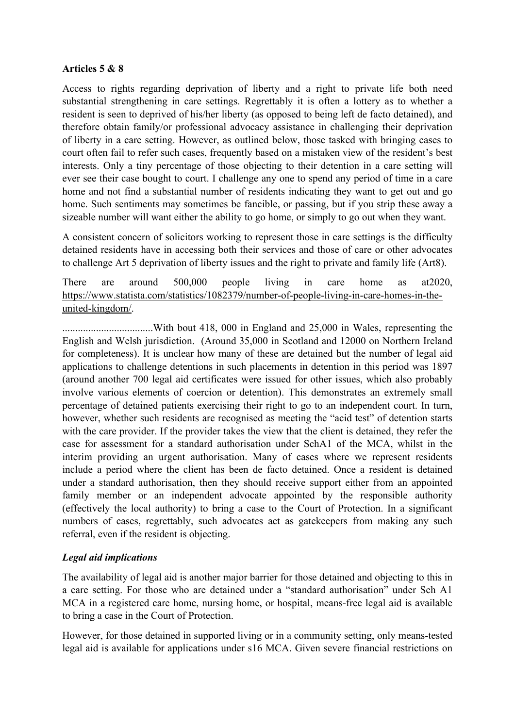### **Articles 5 & 8**

Access to rights regarding deprivation of liberty and a right to private life both need substantial strengthening in care settings. Regrettably it is often a lottery as to whether a resident is seen to deprived of his/her liberty (as opposed to being left de facto detained), and therefore obtain family/or professional advocacy assistance in challenging their deprivation of liberty in a care setting. However, as outlined below, those tasked with bringing cases to court often fail to refer such cases, frequently based on a mistaken view of the resident's best interests. Only a tiny percentage of those objecting to their detention in a care setting will ever see their case bought to court. I challenge any one to spend any period of time in a care home and not find a substantial number of residents indicating they want to get out and go home. Such sentiments may sometimes be fancible, or passing, but if you strip these away a sizeable number will want either the ability to go home, or simply to go out when they want.

A consistent concern of solicitors working to represent those in care settings is the difficulty detained residents have in accessing both their services and those of care or other advocates to challenge Art 5 deprivation of liberty issues and the right to private and family life (Art8).

There are around 500,000 people living in care home as at2020, [https://www.statista.com/statistics/1082379/number-of-people-living-in-care-homes-in-the](https://www.statista.com/statistics/1082379/number-of-people-living-in-care-homes-in-the-united-kingdom/)[united-kingdom/.](https://www.statista.com/statistics/1082379/number-of-people-living-in-care-homes-in-the-united-kingdom/)

...................................With bout 418, 000 in England and 25,000 in Wales, representing the English and Welsh jurisdiction. (Around 35,000 in Scotland and 12000 on Northern Ireland for completeness). It is unclear how many of these are detained but the number of legal aid applications to challenge detentions in such placements in detention in this period was 1897 (around another 700 legal aid certificates were issued for other issues, which also probably involve various elements of coercion or detention). This demonstrates an extremely small percentage of detained patients exercising their right to go to an independent court. In turn, however, whether such residents are recognised as meeting the "acid test" of detention starts with the care provider. If the provider takes the view that the client is detained, they refer the case for assessment for a standard authorisation under SchA1 of the MCA, whilst in the interim providing an urgent authorisation. Many of cases where we represent residents include a period where the client has been de facto detained. Once a resident is detained under a standard authorisation, then they should receive support either from an appointed family member or an independent advocate appointed by the responsible authority (effectively the local authority) to bring a case to the Court of Protection. In a significant numbers of cases, regrettably, such advocates act as gatekeepers from making any such referral, even if the resident is objecting.

### *Legal aid implications*

The availability of legal aid is another major barrier for those detained and objecting to this in a care setting. For those who are detained under a "standard authorisation" under Sch A1 MCA in a registered care home, nursing home, or hospital, means-free legal aid is available to bring a case in the Court of Protection.

However, for those detained in supported living or in a community setting, only means-tested legal aid is available for applications under s16 MCA. Given severe financial restrictions on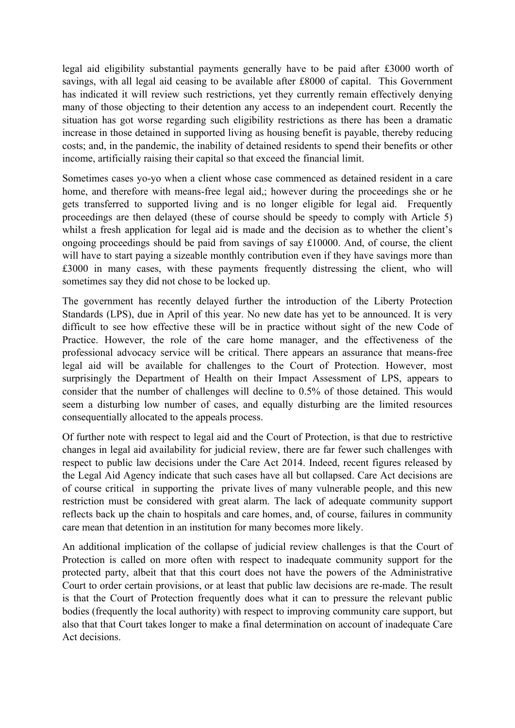legal aid eligibility substantial payments generally have to be paid after £3000 worth of savings, with all legal aid ceasing to be available after £8000 of capital. This Government has indicated it will review such restrictions, yet they currently remain effectively denying many of those objecting to their detention any access to an independent court. Recently the situation has got worse regarding such eligibility restrictions as there has been a dramatic increase in those detained in supported living as housing benefit is payable, thereby reducing costs; and, in the pandemic, the inability of detained residents to spend their benefits or other income, artificially raising their capital so that exceed the financial limit.

Sometimes cases yo-yo when a client whose case commenced as detained resident in a care home, and therefore with means-free legal aid,; however during the proceedings she or he gets transferred to supported living and is no longer eligible for legal aid. Frequently proceedings are then delayed (these of course should be speedy to comply with Article 5) whilst a fresh application for legal aid is made and the decision as to whether the client's ongoing proceedings should be paid from savings of say £10000. And, of course, the client will have to start paying a sizeable monthly contribution even if they have savings more than £3000 in many cases, with these payments frequently distressing the client, who will sometimes say they did not chose to be locked up.

The government has recently delayed further the introduction of the Liberty Protection Standards (LPS), due in April of this year. No new date has yet to be announced. It is very difficult to see how effective these will be in practice without sight of the new Code of Practice. However, the role of the care home manager, and the effectiveness of the professional advocacy service will be critical. There appears an assurance that means-free legal aid will be available for challenges to the Court of Protection. However, most surprisingly the Department of Health on their Impact Assessment of LPS, appears to consider that the number of challenges will decline to 0.5% of those detained. This would seem a disturbing low number of cases, and equally disturbing are the limited resources consequentially allocated to the appeals process.

Of further note with respect to legal aid and the Court of Protection, is that due to restrictive changes in legal aid availability for judicial review, there are far fewer such challenges with respect to public law decisions under the Care Act 2014. Indeed, recent figures released by the Legal Aid Agency indicate that such cases have all but collapsed. Care Act decisions are of course critical in supporting the private lives of many vulnerable people, and this new restriction must be considered with great alarm. The lack of adequate community support reflects back up the chain to hospitals and care homes, and, of course, failures in community care mean that detention in an institution for many becomes more likely.

An additional implication of the collapse of judicial review challenges is that the Court of Protection is called on more often with respect to inadequate community support for the protected party, albeit that that this court does not have the powers of the Administrative Court to order certain provisions, or at least that public law decisions are re-made. The result is that the Court of Protection frequently does what it can to pressure the relevant public bodies (frequently the local authority) with respect to improving community care support, but also that that Court takes longer to make a final determination on account of inadequate Care Act decisions.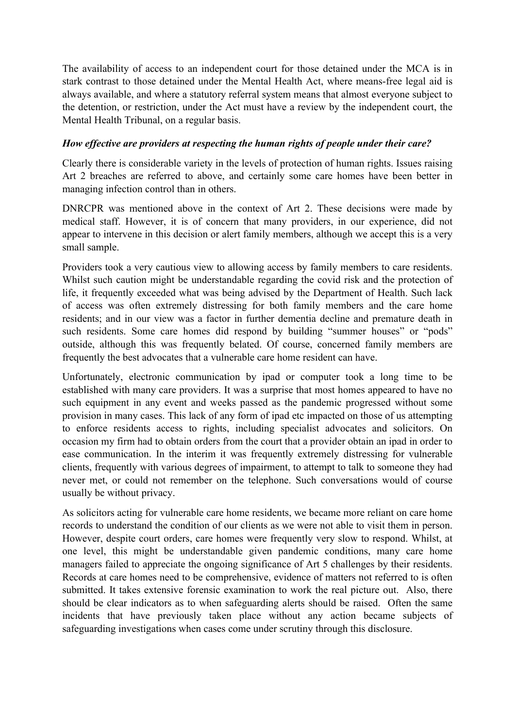The availability of access to an independent court for those detained under the MCA is in stark contrast to those detained under the Mental Health Act, where means-free legal aid is always available, and where a statutory referral system means that almost everyone subject to the detention, or restriction, under the Act must have a review by the independent court, the Mental Health Tribunal, on a regular basis.

### *How effective are providers at respecting the human rights of people under their care?*

Clearly there is considerable variety in the levels of protection of human rights. Issues raising Art 2 breaches are referred to above, and certainly some care homes have been better in managing infection control than in others.

DNRCPR was mentioned above in the context of Art 2. These decisions were made by medical staff. However, it is of concern that many providers, in our experience, did not appear to intervene in this decision or alert family members, although we accept this is a very small sample.

Providers took a very cautious view to allowing access by family members to care residents. Whilst such caution might be understandable regarding the covid risk and the protection of life, it frequently exceeded what was being advised by the Department of Health. Such lack of access was often extremely distressing for both family members and the care home residents; and in our view was a factor in further dementia decline and premature death in such residents. Some care homes did respond by building "summer houses" or "pods" outside, although this was frequently belated. Of course, concerned family members are frequently the best advocates that a vulnerable care home resident can have.

Unfortunately, electronic communication by ipad or computer took a long time to be established with many care providers. It was a surprise that most homes appeared to have no such equipment in any event and weeks passed as the pandemic progressed without some provision in many cases. This lack of any form of ipad etc impacted on those of us attempting to enforce residents access to rights, including specialist advocates and solicitors. On occasion my firm had to obtain orders from the court that a provider obtain an ipad in order to ease communication. In the interim it was frequently extremely distressing for vulnerable clients, frequently with various degrees of impairment, to attempt to talk to someone they had never met, or could not remember on the telephone. Such conversations would of course usually be without privacy.

As solicitors acting for vulnerable care home residents, we became more reliant on care home records to understand the condition of our clients as we were not able to visit them in person. However, despite court orders, care homes were frequently very slow to respond. Whilst, at one level, this might be understandable given pandemic conditions, many care home managers failed to appreciate the ongoing significance of Art 5 challenges by their residents. Records at care homes need to be comprehensive, evidence of matters not referred to is often submitted. It takes extensive forensic examination to work the real picture out. Also, there should be clear indicators as to when safeguarding alerts should be raised. Often the same incidents that have previously taken place without any action became subjects of safeguarding investigations when cases come under scrutiny through this disclosure.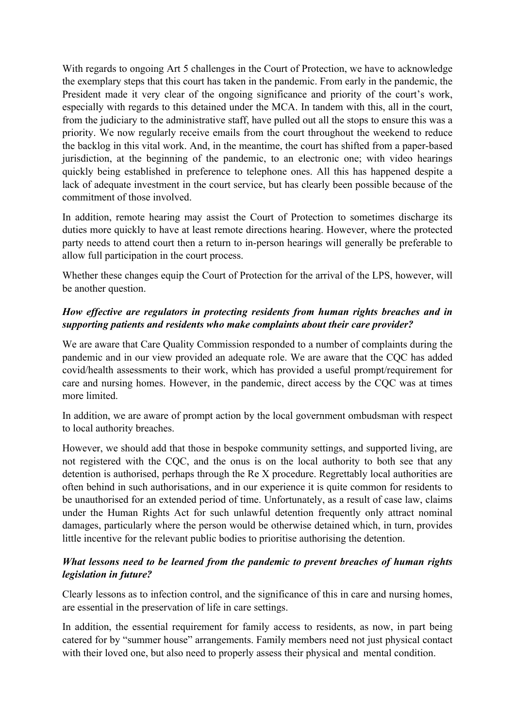With regards to ongoing Art 5 challenges in the Court of Protection, we have to acknowledge the exemplary steps that this court has taken in the pandemic. From early in the pandemic, the President made it very clear of the ongoing significance and priority of the court's work, especially with regards to this detained under the MCA. In tandem with this, all in the court, from the judiciary to the administrative staff, have pulled out all the stops to ensure this was a priority. We now regularly receive emails from the court throughout the weekend to reduce the backlog in this vital work. And, in the meantime, the court has shifted from a paper-based jurisdiction, at the beginning of the pandemic, to an electronic one; with video hearings quickly being established in preference to telephone ones. All this has happened despite a lack of adequate investment in the court service, but has clearly been possible because of the commitment of those involved.

In addition, remote hearing may assist the Court of Protection to sometimes discharge its duties more quickly to have at least remote directions hearing. However, where the protected party needs to attend court then a return to in-person hearings will generally be preferable to allow full participation in the court process.

Whether these changes equip the Court of Protection for the arrival of the LPS, however, will be another question.

## *How effective are regulators in protecting residents from human rights breaches and in supporting patients and residents who make complaints about their care provider?*

We are aware that Care Quality Commission responded to a number of complaints during the pandemic and in our view provided an adequate role. We are aware that the CQC has added covid/health assessments to their work, which has provided a useful prompt/requirement for care and nursing homes. However, in the pandemic, direct access by the CQC was at times more limited.

In addition, we are aware of prompt action by the local government ombudsman with respect to local authority breaches.

However, we should add that those in bespoke community settings, and supported living, are not registered with the CQC, and the onus is on the local authority to both see that any detention is authorised, perhaps through the Re X procedure. Regrettably local authorities are often behind in such authorisations, and in our experience it is quite common for residents to be unauthorised for an extended period of time. Unfortunately, as a result of case law, claims under the Human Rights Act for such unlawful detention frequently only attract nominal damages, particularly where the person would be otherwise detained which, in turn, provides little incentive for the relevant public bodies to prioritise authorising the detention.

### *What lessons need to be learned from the pandemic to prevent breaches of human rights legislation in future?*

Clearly lessons as to infection control, and the significance of this in care and nursing homes, are essential in the preservation of life in care settings.

In addition, the essential requirement for family access to residents, as now, in part being catered for by "summer house" arrangements. Family members need not just physical contact with their loved one, but also need to properly assess their physical and mental condition.